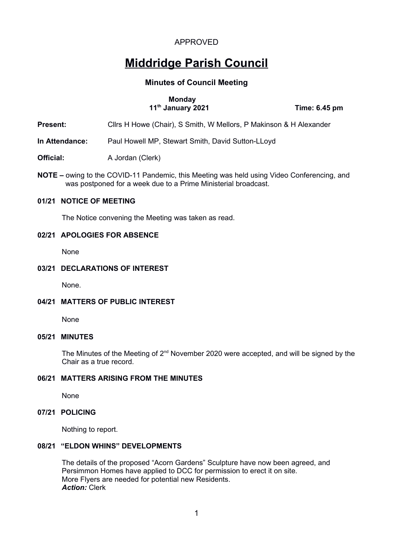# **Middridge Parish Council**

# **Minutes of Council Meeting**

#### **Monday 11th January 2021 Time: 6.45 pm**

**Present:** Clirs H Howe (Chair), S Smith, W Mellors, P Makinson & H Alexander

**In Attendance:** Paul Howell MP, Stewart Smith, David Sutton-LLoyd

- **Official:** A Jordan (Clerk)
- **NOTE** owing to the COVID-11 Pandemic, this Meeting was held using Video Conferencing, and was postponed for a week due to a Prime Ministerial broadcast.

## **01/21 NOTICE OF MEETING**

The Notice convening the Meeting was taken as read.

#### **02/21 APOLOGIES FOR ABSENCE**

None

#### **03/21 DECLARATIONS OF INTEREST**

None.

# **04/21 MATTERS OF PUBLIC INTEREST**

None

#### **05/21 MINUTES**

The Minutes of the Meeting of 2<sup>nd</sup> November 2020 were accepted, and will be signed by the Chair as a true record.

## **06/21 MATTERS ARISING FROM THE MINUTES**

None

#### **07/21 POLICING**

Nothing to report.

## **08/21 "ELDON WHINS" DEVELOPMENTS**

The details of the proposed "Acorn Gardens" Sculpture have now been agreed, and Persimmon Homes have applied to DCC for permission to erect it on site. More Flyers are needed for potential new Residents. *Action:* Clerk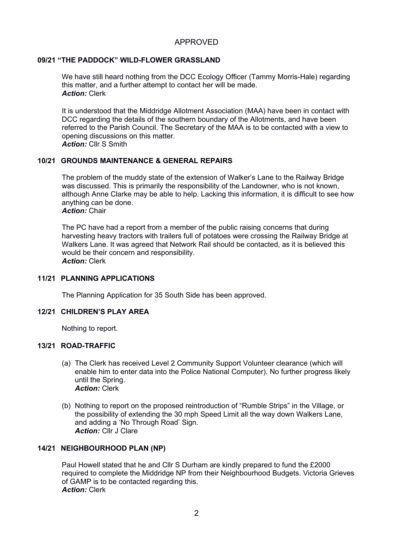# **09/21 "THE PADDOCK" WILD-FLOWER GRASSLAND**

We have still heard nothing from the DCC Ecology Officer (Tammy Morris-Hale) regarding this matter, and a further attempt to contact her will be made. *Action:* Clerk

It is understood that the Middridge Allotment Association (MAA) have been in contact with DCC regarding the details of the southern boundary of the Allotments, and have been referred to the Parish Council. The Secretary of the MAA is to be contacted with a view to opening discussions on this matter. *Action:* Cllr S Smith

# **10/21 GROUNDS MAINTENANCE & GENERAL REPAIRS**

The problem of the muddy state of the extension of Walker's Lane to the Railway Bridge was discussed. This is primarily the responsibility of the Landowner, who is not known, although Anne Clarke may be able to help. Lacking this information, it is difficult to see how anything can be done.

*Action:* Chair

The PC have had a report from a member of the public raising concerns that during harvesting heavy tractors with trailers full of potatoes were crossing the Railway Bridge at Walkers Lane. It was agreed that Network Rail should be contacted, as it is believed this would be their concern and responsibility. *Action:* Clerk

# **11/21 PLANNING APPLICATIONS**

The Planning Application for 35 South Side has been approved.

# **12/21 CHILDREN'S PLAY AREA**

Nothing to report.

# **13/21 ROAD-TRAFFIC**

- (a) The Clerk has received Level 2 Community Support Volunteer clearance (which will enable him to enter data into the Police National Computer). No further progress likely until the Spring. *Action:* Clerk
- (b) Nothing to report on the proposed reintroduction of "Rumble Strips" in the Village, or the possibility of extending the 30 mph Speed Limit all the way down Walkers Lane, and adding a 'No Through Road' Sign. Action: Cllr J Clare

# **14/21 NEIGHBOURHOOD PLAN (NP)**

Paul Howell stated that he and Cllr S Durham are kindly prepared to fund the £2000 required to complete the Middridge NP from their Neighbourhood Budgets. Victoria Grieves of GAMP is to be contacted regarding this. *Action:* Clerk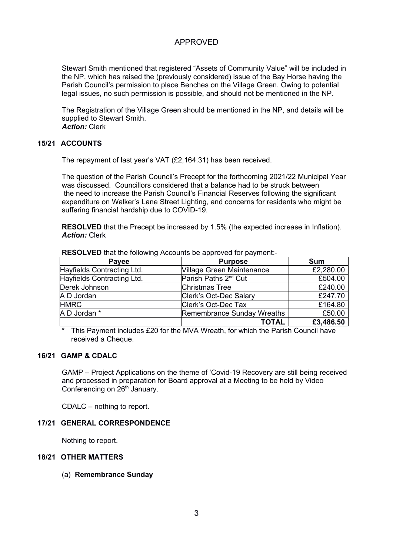Stewart Smith mentioned that registered "Assets of Community Value" will be included in the NP, which has raised the (previously considered) issue of the Bay Horse having the Parish Council's permission to place Benches on the Village Green. Owing to potential legal issues, no such permission is possible, and should not be mentioned in the NP.

The Registration of the Village Green should be mentioned in the NP, and details will be supplied to Stewart Smith. *Action:* Clerk

### **15/21 ACCOUNTS**

The repayment of last year's VAT (£2,164.31) has been received.

The question of the Parish Council's Precept for the forthcoming 2021/22 Municipal Year was discussed. Councillors considered that a balance had to be struck between the need to increase the Parish Council's Financial Reserves following the significant expenditure on Walker's Lane Street Lighting, and concerns for residents who might be suffering financial hardship due to COVID-19.

**RESOLVED** that the Precept be increased by 1.5% (the expected increase in Inflation). *Action:* Clerk

| Payee                      | <b>Purpose</b>                   | <b>Sum</b> |
|----------------------------|----------------------------------|------------|
| Hayfields Contracting Ltd. | <b>Village Green Maintenance</b> | £2,280.00  |
| Hayfields Contracting Ltd. | Parish Paths 2 <sup>nd</sup> Cut | £504.00    |
| Derek Johnson              | <b>Christmas Tree</b>            | £240.00    |
| A D Jordan                 | Clerk's Oct-Dec Salary           | £247.70    |
| <b>HMRC</b>                | Clerk's Oct-Dec Tax              | £164.80    |
| A D Jordan *               | Remembrance Sunday Wreaths       | £50.00     |
|                            | <b>TOTAL</b>                     | £3,486.50  |

**RESOLVED** that the following Accounts be approved for payment:-

This Payment includes £20 for the MVA Wreath, for which the Parish Council have received a Cheque.

#### **16/21 GAMP & CDALC**

GAMP – Project Applications on the theme of 'Covid-19 Recovery are still being received and processed in preparation for Board approval at a Meeting to be held by Video Conferencing on 26<sup>th</sup> January.

CDALC – nothing to report.

## **17/21 GENERAL CORRESPONDENCE**

Nothing to report.

#### **18/21 OTHER MATTERS**

(a) **Remembrance Sunday**